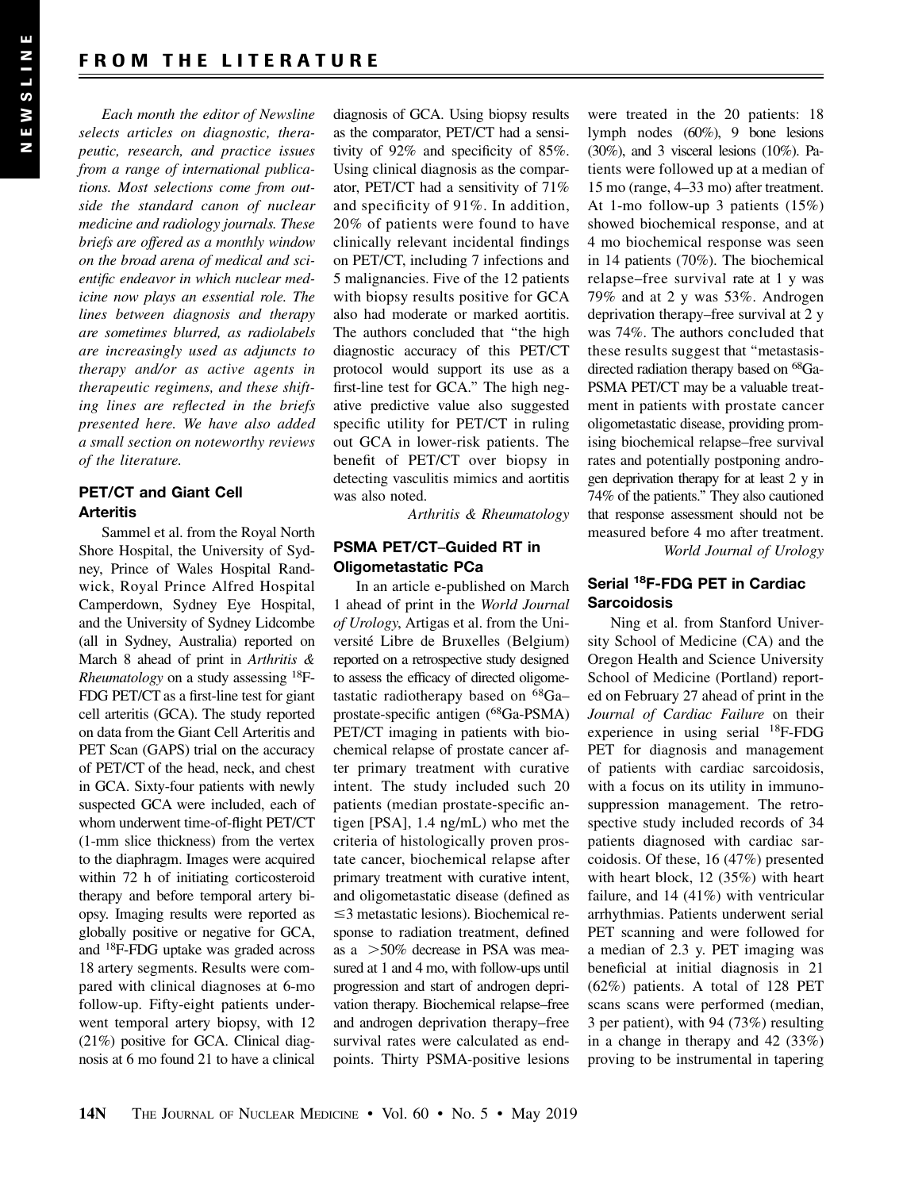Each month the editor of Newsline selects articles on diagnostic, therapeutic, research, and practice issues from a range of international publications. Most selections come from outside the standard canon of nuclear medicine and radiology journals. These briefs are offered as a monthly window on the broad arena of medical and scientific endeavor in which nuclear medicine now plays an essential role. The lines between diagnosis and therapy are sometimes blurred, as radiolabels are increasingly used as adjuncts to therapy and/or as active agents in therapeutic regimens, and these shifting lines are reflected in the briefs presented here. We have also added a small section on noteworthy reviews of the literature.

# PET/CT and Giant Cell **Arteritis**

Sammel et al. from the Royal North Shore Hospital, the University of Sydney, Prince of Wales Hospital Randwick, Royal Prince Alfred Hospital Camperdown, Sydney Eye Hospital, and the University of Sydney Lidcombe (all in Sydney, Australia) reported on March 8 ahead of print in Arthritis & *Rheumatology* on a study assessing  $^{18}F-$ FDG PET/CT as a first-line test for giant cell arteritis (GCA). The study reported on data from the Giant Cell Arteritis and PET Scan (GAPS) trial on the accuracy of PET/CT of the head, neck, and chest in GCA. Sixty-four patients with newly suspected GCA were included, each of whom underwent time-of-flight PET/CT (1-mm slice thickness) from the vertex to the diaphragm. Images were acquired within 72 h of initiating corticosteroid therapy and before temporal artery biopsy. Imaging results were reported as globally positive or negative for GCA, and 18F-FDG uptake was graded across 18 artery segments. Results were compared with clinical diagnoses at 6-mo follow-up. Fifty-eight patients underwent temporal artery biopsy, with 12 (21%) positive for GCA. Clinical diagnosis at 6 mo found 21 to have a clinical

diagnosis of GCA. Using biopsy results as the comparator, PET/CT had a sensitivity of 92% and specificity of 85%. Using clinical diagnosis as the comparator, PET/CT had a sensitivity of 71% and specificity of 91%. In addition, 20% of patients were found to have clinically relevant incidental findings on PET/CT, including 7 infections and 5 malignancies. Five of the 12 patients with biopsy results positive for GCA also had moderate or marked aortitis. The authors concluded that ''the high diagnostic accuracy of this PET/CT protocol would support its use as a first-line test for GCA.'' The high negative predictive value also suggested specific utility for PET/CT in ruling out GCA in lower-risk patients. The benefit of PET/CT over biopsy in detecting vasculitis mimics and aortitis was also noted.

Arthritis & Rheumatology

### PSMA PET/CT–Guided RT in Oligometastatic PCa

In an article e-published on March 1 ahead of print in the World Journal of Urology, Artigas et al. from the Université Libre de Bruxelles (Belgium) reported on a retrospective study designed to assess the efficacy of directed oligometastatic radiotherapy based on 68Ga– prostate-specific antigen (68Ga-PSMA) PET/CT imaging in patients with biochemical relapse of prostate cancer after primary treatment with curative intent. The study included such 20 patients (median prostate-specific antigen [PSA], 1.4 ng/mL) who met the criteria of histologically proven prostate cancer, biochemical relapse after primary treatment with curative intent, and oligometastatic disease (defined as  $\leq$ 3 metastatic lesions). Biochemical response to radiation treatment, defined as a  $>50\%$  decrease in PSA was measured at 1 and 4 mo, with follow-ups until progression and start of androgen deprivation therapy. Biochemical relapse–free and androgen deprivation therapy–free survival rates were calculated as endpoints. Thirty PSMA-positive lesions

were treated in the 20 patients: 18 lymph nodes (60%), 9 bone lesions (30%), and 3 visceral lesions (10%). Patients were followed up at a median of 15 mo (range, 4–33 mo) after treatment. At 1-mo follow-up 3 patients (15%) showed biochemical response, and at 4 mo biochemical response was seen in 14 patients (70%). The biochemical relapse–free survival rate at 1 y was 79% and at 2 y was 53%. Androgen deprivation therapy–free survival at 2 y was 74%. The authors concluded that these results suggest that ''metastasisdirected radiation therapy based on 68Ga-PSMA PET/CT may be a valuable treatment in patients with prostate cancer oligometastatic disease, providing promising biochemical relapse–free survival rates and potentially postponing androgen deprivation therapy for at least 2 y in 74% of the patients.'' They also cautioned that response assessment should not be measured before 4 mo after treatment. World Journal of Urology

# Serial 18F-FDG PET in Cardiac **Sarcoidosis**

Ning et al. from Stanford University School of Medicine (CA) and the Oregon Health and Science University School of Medicine (Portland) reported on February 27 ahead of print in the Journal of Cardiac Failure on their experience in using serial 18F-FDG PET for diagnosis and management of patients with cardiac sarcoidosis, with a focus on its utility in immunosuppression management. The retrospective study included records of 34 patients diagnosed with cardiac sarcoidosis. Of these, 16 (47%) presented with heart block, 12 (35%) with heart failure, and 14 (41%) with ventricular arrhythmias. Patients underwent serial PET scanning and were followed for a median of 2.3 y. PET imaging was beneficial at initial diagnosis in 21 (62%) patients. A total of 128 PET scans scans were performed (median, 3 per patient), with 94 (73%) resulting in a change in therapy and 42 (33%) proving to be instrumental in tapering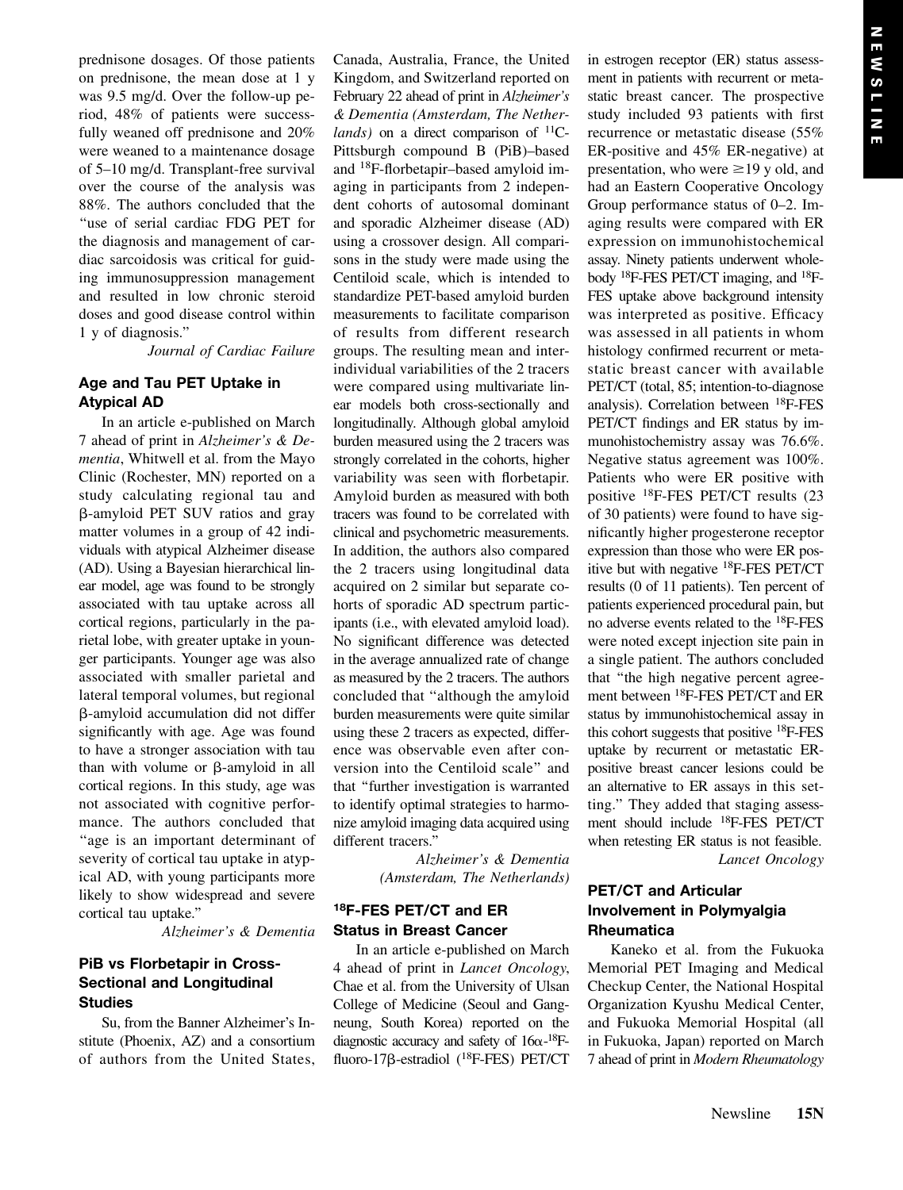prednisone dosages. Of those patients on prednisone, the mean dose at 1 y was 9.5 mg/d. Over the follow-up period, 48% of patients were successfully weaned off prednisone and 20% were weaned to a maintenance dosage of 5–10 mg/d. Transplant-free survival over the course of the analysis was 88%. The authors concluded that the ''use of serial cardiac FDG PET for the diagnosis and management of cardiac sarcoidosis was critical for guiding immunosuppression management and resulted in low chronic steroid doses and good disease control within 1 y of diagnosis.''

Journal of Cardiac Failure

# Age and Tau PET Uptake in Atypical AD

In an article e-published on March 7 ahead of print in Alzheimer's & Dementia, Whitwell et al. from the Mayo Clinic (Rochester, MN) reported on a study calculating regional tau and b-amyloid PET SUV ratios and gray matter volumes in a group of 42 individuals with atypical Alzheimer disease (AD). Using a Bayesian hierarchical linear model, age was found to be strongly associated with tau uptake across all cortical regions, particularly in the parietal lobe, with greater uptake in younger participants. Younger age was also associated with smaller parietal and lateral temporal volumes, but regional b-amyloid accumulation did not differ significantly with age. Age was found to have a stronger association with tau than with volume or  $\beta$ -amyloid in all cortical regions. In this study, age was not associated with cognitive performance. The authors concluded that ''age is an important determinant of severity of cortical tau uptake in atypical AD, with young participants more likely to show widespread and severe cortical tau uptake.''

Alzheimer's & Dementia

## PiB vs Florbetapir in Cross-Sectional and Longitudinal **Studies**

Su, from the Banner Alzheimer's Institute (Phoenix, AZ) and a consortium of authors from the United States, Canada, Australia, France, the United Kingdom, and Switzerland reported on February 22 ahead of print in Alzheimer's & Dementia (Amsterdam, The Netherlands) on a direct comparison of  $^{11}C$ -Pittsburgh compound B (PiB)–based and 18F-florbetapir–based amyloid imaging in participants from 2 independent cohorts of autosomal dominant and sporadic Alzheimer disease (AD) using a crossover design. All comparisons in the study were made using the Centiloid scale, which is intended to standardize PET-based amyloid burden measurements to facilitate comparison of results from different research groups. The resulting mean and interindividual variabilities of the 2 tracers were compared using multivariate linear models both cross-sectionally and longitudinally. Although global amyloid burden measured using the 2 tracers was strongly correlated in the cohorts, higher variability was seen with florbetapir. Amyloid burden as measured with both tracers was found to be correlated with clinical and psychometric measurements. In addition, the authors also compared the 2 tracers using longitudinal data acquired on 2 similar but separate cohorts of sporadic AD spectrum participants (i.e., with elevated amyloid load). No significant difference was detected in the average annualized rate of change as measured by the 2 tracers. The authors concluded that ''although the amyloid burden measurements were quite similar using these 2 tracers as expected, difference was observable even after conversion into the Centiloid scale'' and that ''further investigation is warranted to identify optimal strategies to harmonize amyloid imaging data acquired using different tracers.''

> Alzheimer's & Dementia (Amsterdam, The Netherlands)

## 18F-FES PET/CT and ER Status in Breast Cancer

In an article e-published on March 4 ahead of print in Lancet Oncology, Chae et al. from the University of Ulsan College of Medicine (Seoul and Gangneung, South Korea) reported on the diagnostic accuracy and safety of  $16\alpha$ -<sup>18</sup>Ffluoro-17<sub>B</sub>-estradiol (<sup>18</sup>F-FES) PET/CT in estrogen receptor (ER) status assessment in patients with recurrent or metastatic breast cancer. The prospective study included 93 patients with first recurrence or metastatic disease (55% ER-positive and 45% ER-negative) at presentation, who were  $\geq$ 19 y old, and had an Eastern Cooperative Oncology Group performance status of 0–2. Imaging results were compared with ER expression on immunohistochemical assay. Ninety patients underwent wholebody 18F-FES PET/CT imaging, and 18F-FES uptake above background intensity was interpreted as positive. Efficacy was assessed in all patients in whom histology confirmed recurrent or metastatic breast cancer with available PET/CT (total, 85; intention-to-diagnose analysis). Correlation between 18F-FES PET/CT findings and ER status by immunohistochemistry assay was 76.6%. Negative status agreement was 100%. Patients who were ER positive with positive 18F-FES PET/CT results (23 of 30 patients) were found to have significantly higher progesterone receptor expression than those who were ER positive but with negative 18F-FES PET/CT results (0 of 11 patients). Ten percent of patients experienced procedural pain, but no adverse events related to the 18F-FES were noted except injection site pain in a single patient. The authors concluded that ''the high negative percent agreement between 18F-FES PET/CT and ER status by immunohistochemical assay in this cohort suggests that positive 18F-FES uptake by recurrent or metastatic ERpositive breast cancer lesions could be an alternative to ER assays in this setting.'' They added that staging assessment should include 18F-FES PET/CT when retesting ER status is not feasible. Lancet Oncology

# PET/CT and Articular Involvement in Polymyalgia Rheumatica

Kaneko et al. from the Fukuoka Memorial PET Imaging and Medical Checkup Center, the National Hospital Organization Kyushu Medical Center, and Fukuoka Memorial Hospital (all in Fukuoka, Japan) reported on March 7 ahead of print in Modern Rheumatology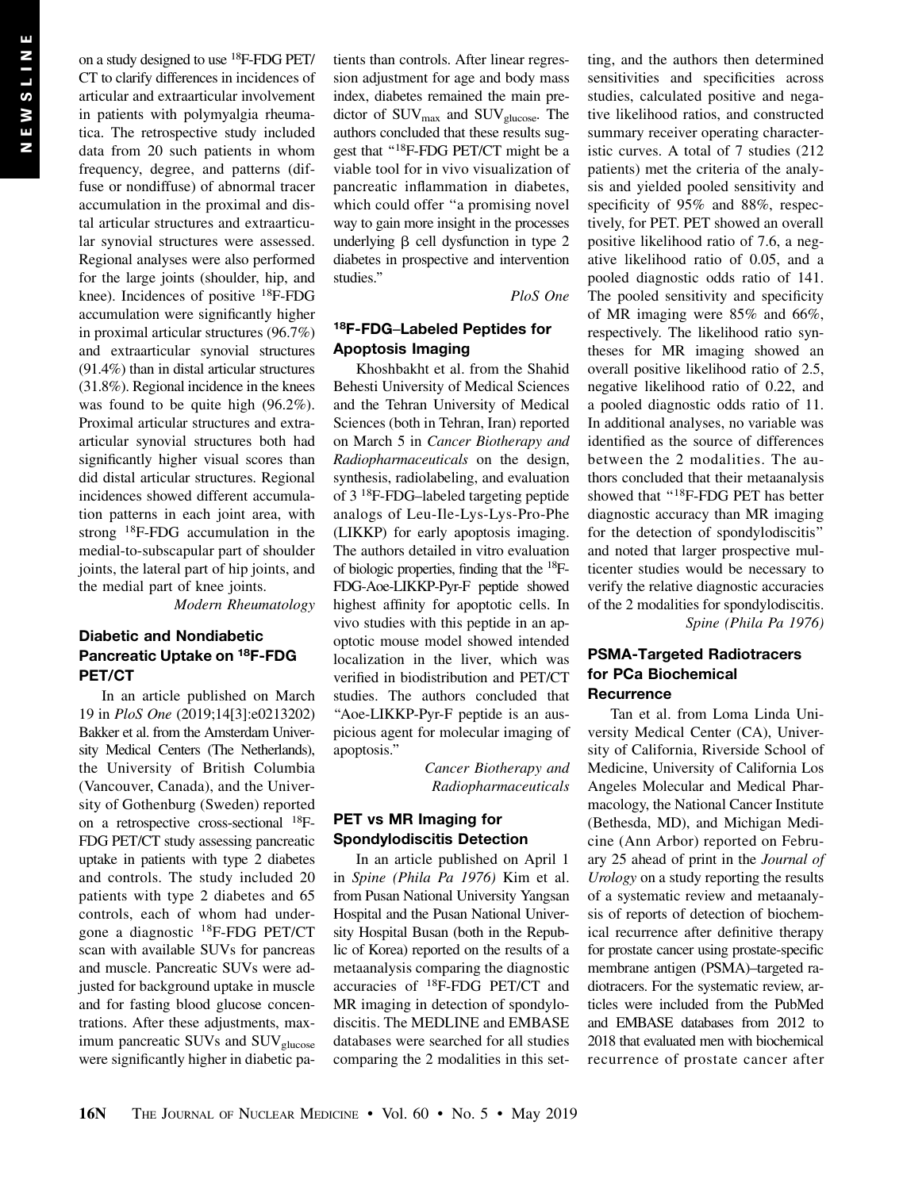on a study designed to use 18F-FDG PET/ CT to clarify differences in incidences of articular and extraarticular involvement in patients with polymyalgia rheumatica. The retrospective study included data from 20 such patients in whom frequency, degree, and patterns (diffuse or nondiffuse) of abnormal tracer accumulation in the proximal and distal articular structures and extraarticular synovial structures were assessed. Regional analyses were also performed for the large joints (shoulder, hip, and knee). Incidences of positive 18F-FDG accumulation were significantly higher in proximal articular structures (96.7%) and extraarticular synovial structures (91.4%) than in distal articular structures (31.8%). Regional incidence in the knees was found to be quite high (96.2%). Proximal articular structures and extraarticular synovial structures both had significantly higher visual scores than did distal articular structures. Regional incidences showed different accumulation patterns in each joint area, with strong 18F-FDG accumulation in the medial-to-subscapular part of shoulder joints, the lateral part of hip joints, and the medial part of knee joints.

Modern Rheumatology

# Diabetic and Nondiabetic Pancreatic Uptake on 18F-FDG PET/CT

In an article published on March 19 in PloS One (2019;14[3]:e0213202) Bakker et al. from the Amsterdam University Medical Centers (The Netherlands), the University of British Columbia (Vancouver, Canada), and the University of Gothenburg (Sweden) reported on a retrospective cross-sectional 18F-FDG PET/CT study assessing pancreatic uptake in patients with type 2 diabetes and controls. The study included 20 patients with type 2 diabetes and 65 controls, each of whom had undergone a diagnostic 18F-FDG PET/CT scan with available SUVs for pancreas and muscle. Pancreatic SUVs were adjusted for background uptake in muscle and for fasting blood glucose concentrations. After these adjustments, maximum pancreatic SUVs and SUV<sub>glucose</sub> were significantly higher in diabetic patients than controls. After linear regression adjustment for age and body mass index, diabetes remained the main predictor of SUV<sub>max</sub> and SUV<sub>glucose</sub>. The authors concluded that these results suggest that "<sup>18</sup>F-FDG PET/CT might be a viable tool for in vivo visualization of pancreatic inflammation in diabetes, which could offer ''a promising novel way to gain more insight in the processes underlying  $\beta$  cell dysfunction in type 2 diabetes in prospective and intervention studies.''

PloS One

# 18F-FDG–Labeled Peptides for Apoptosis Imaging

Khoshbakht et al. from the Shahid Behesti University of Medical Sciences and the Tehran University of Medical Sciences (both in Tehran, Iran) reported on March 5 in Cancer Biotherapy and Radiopharmaceuticals on the design, synthesis, radiolabeling, and evaluation of 3 18F-FDG–labeled targeting peptide analogs of Leu-Ile-Lys-Lys-Pro-Phe (LIKKP) for early apoptosis imaging. The authors detailed in vitro evaluation of biologic properties, finding that the 18F-FDG-Aoe-LIKKP-Pyr-F peptide showed highest affinity for apoptotic cells. In vivo studies with this peptide in an apoptotic mouse model showed intended localization in the liver, which was verified in biodistribution and PET/CT studies. The authors concluded that ''Aoe-LIKKP-Pyr-F peptide is an auspicious agent for molecular imaging of apoptosis.''

> Cancer Biotherapy and Radiopharmaceuticals

#### PET vs MR Imaging for Spondylodiscitis Detection

In an article published on April 1 in Spine (Phila Pa 1976) Kim et al. from Pusan National University Yangsan Hospital and the Pusan National University Hospital Busan (both in the Republic of Korea) reported on the results of a metaanalysis comparing the diagnostic accuracies of 18F-FDG PET/CT and MR imaging in detection of spondylodiscitis. The MEDLINE and EMBASE databases were searched for all studies comparing the 2 modalities in this setting, and the authors then determined sensitivities and specificities across studies, calculated positive and negative likelihood ratios, and constructed summary receiver operating characteristic curves. A total of 7 studies (212 patients) met the criteria of the analysis and yielded pooled sensitivity and specificity of 95% and 88%, respectively, for PET. PET showed an overall positive likelihood ratio of 7.6, a negative likelihood ratio of 0.05, and a pooled diagnostic odds ratio of 141. The pooled sensitivity and specificity of MR imaging were 85% and 66%, respectively. The likelihood ratio syntheses for MR imaging showed an overall positive likelihood ratio of 2.5, negative likelihood ratio of 0.22, and a pooled diagnostic odds ratio of 11. In additional analyses, no variable was identified as the source of differences between the 2 modalities. The authors concluded that their metaanalysis showed that "<sup>18</sup>F-FDG PET has better diagnostic accuracy than MR imaging for the detection of spondylodiscitis'' and noted that larger prospective multicenter studies would be necessary to verify the relative diagnostic accuracies of the 2 modalities for spondylodiscitis. Spine (Phila Pa 1976)

## PSMA-Targeted Radiotracers for PCa Biochemical **Recurrence**

Tan et al. from Loma Linda University Medical Center (CA), University of California, Riverside School of Medicine, University of California Los Angeles Molecular and Medical Pharmacology, the National Cancer Institute (Bethesda, MD), and Michigan Medicine (Ann Arbor) reported on February 25 ahead of print in the Journal of Urology on a study reporting the results of a systematic review and metaanalysis of reports of detection of biochemical recurrence after definitive therapy for prostate cancer using prostate-specific membrane antigen (PSMA)–targeted radiotracers. For the systematic review, articles were included from the PubMed and EMBASE databases from 2012 to 2018 that evaluated men with biochemical recurrence of prostate cancer after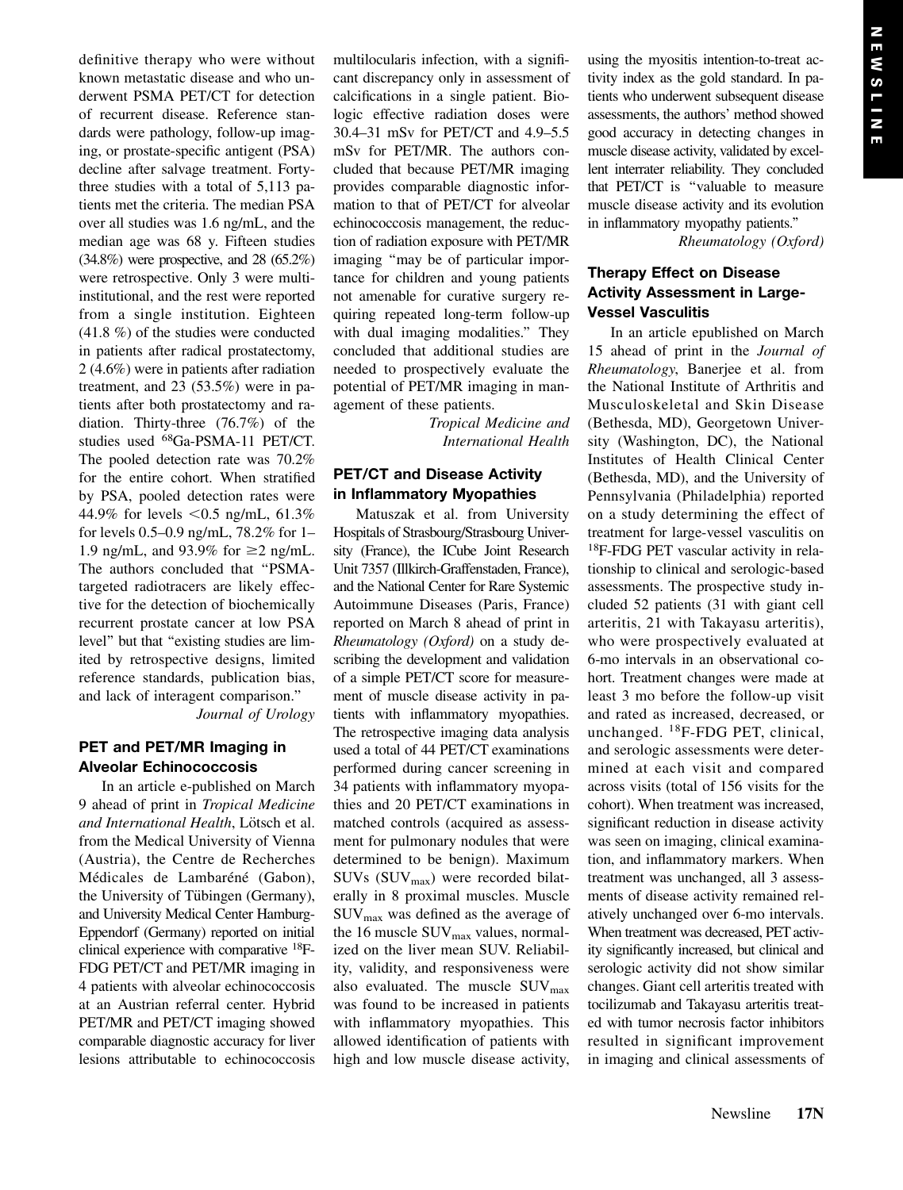definitive therapy who were without known metastatic disease and who underwent PSMA PET/CT for detection of recurrent disease. Reference standards were pathology, follow-up imaging, or prostate-specific antigent (PSA) decline after salvage treatment. Fortythree studies with a total of 5,113 patients met the criteria. The median PSA over all studies was 1.6 ng/mL, and the median age was 68 y. Fifteen studies (34.8%) were prospective, and 28 (65.2%) were retrospective. Only 3 were multiinstitutional, and the rest were reported from a single institution. Eighteen (41.8 %) of the studies were conducted in patients after radical prostatectomy, 2 (4.6%) were in patients after radiation treatment, and 23 (53.5%) were in patients after both prostatectomy and radiation. Thirty-three (76.7%) of the studies used 68Ga-PSMA-11 PET/CT. The pooled detection rate was 70.2% for the entire cohort. When stratified by PSA, pooled detection rates were 44.9% for levels <0.5 ng/mL,  $61.3%$ for levels 0.5–0.9 ng/mL, 78.2% for 1– 1.9 ng/mL, and 93.9% for  $\geq$  2 ng/mL. The authors concluded that ''PSMAtargeted radiotracers are likely effective for the detection of biochemically recurrent prostate cancer at low PSA level'' but that ''existing studies are limited by retrospective designs, limited reference standards, publication bias, and lack of interagent comparison.'' Journal of Urology

# PET and PET/MR Imaging in Alveolar Echinococcosis

In an article e-published on March 9 ahead of print in Tropical Medicine and International Health, Lötsch et al. from the Medical University of Vienna (Austria), the Centre de Recherches Médicales de Lambaréné (Gabon), the University of Tübingen (Germany), and University Medical Center Hamburg-Eppendorf (Germany) reported on initial clinical experience with comparative 18F-FDG PET/CT and PET/MR imaging in 4 patients with alveolar echinococcosis at an Austrian referral center. Hybrid PET/MR and PET/CT imaging showed comparable diagnostic accuracy for liver lesions attributable to echinococcosis multilocularis infection, with a significant discrepancy only in assessment of calcifications in a single patient. Biologic effective radiation doses were 30.4–31 mSv for PET/CT and 4.9–5.5 mSv for PET/MR. The authors concluded that because PET/MR imaging provides comparable diagnostic information to that of PET/CT for alveolar echinococcosis management, the reduction of radiation exposure with PET/MR imaging ''may be of particular importance for children and young patients not amenable for curative surgery requiring repeated long-term follow-up with dual imaging modalities." They concluded that additional studies are needed to prospectively evaluate the potential of PET/MR imaging in management of these patients.

> Tropical Medicine and International Health

## PET/CT and Disease Activity in Inflammatory Myopathies

Matuszak et al. from University Hospitals of Strasbourg/Strasbourg University (France), the ICube Joint Research Unit 7357 (Illkirch-Graffenstaden, France), and the National Center for Rare Systemic Autoimmune Diseases (Paris, France) reported on March 8 ahead of print in Rheumatology ( $Oxford$ ) on a study describing the development and validation of a simple PET/CT score for measurement of muscle disease activity in patients with inflammatory myopathies. The retrospective imaging data analysis used a total of 44 PET/CT examinations performed during cancer screening in 34 patients with inflammatory myopathies and 20 PET/CT examinations in matched controls (acquired as assessment for pulmonary nodules that were determined to be benign). Maximum SUVs  $(SUV_{max})$  were recorded bilaterally in 8 proximal muscles. Muscle SUVmax was defined as the average of the 16 muscle  $\text{SUV}_{\text{max}}$  values, normalized on the liver mean SUV. Reliability, validity, and responsiveness were also evaluated. The muscle  $\text{SUV}_{\text{max}}$ was found to be increased in patients with inflammatory myopathies. This allowed identification of patients with high and low muscle disease activity,

using the myositis intention-to-treat activity index as the gold standard. In patients who underwent subsequent disease assessments, the authors' method showed good accuracy in detecting changes in muscle disease activity, validated by excellent interrater reliability. They concluded that PET/CT is ''valuable to measure muscle disease activity and its evolution in inflammatory myopathy patients.''

Rheumatology (Oxford)

# Therapy Effect on Disease Activity Assessment in Large-Vessel Vasculitis

In an article epublished on March 15 ahead of print in the Journal of Rheumatology, Banerjee et al. from the National Institute of Arthritis and Musculoskeletal and Skin Disease (Bethesda, MD), Georgetown University (Washington, DC), the National Institutes of Health Clinical Center (Bethesda, MD), and the University of Pennsylvania (Philadelphia) reported on a study determining the effect of treatment for large-vessel vasculitis on 18F-FDG PET vascular activity in relationship to clinical and serologic-based assessments. The prospective study included 52 patients (31 with giant cell arteritis, 21 with Takayasu arteritis), who were prospectively evaluated at 6-mo intervals in an observational cohort. Treatment changes were made at least 3 mo before the follow-up visit and rated as increased, decreased, or unchanged. 18F-FDG PET, clinical, and serologic assessments were determined at each visit and compared across visits (total of 156 visits for the cohort). When treatment was increased, significant reduction in disease activity was seen on imaging, clinical examination, and inflammatory markers. When treatment was unchanged, all 3 assessments of disease activity remained relatively unchanged over 6-mo intervals. When treatment was decreased, PET activity significantly increased, but clinical and serologic activity did not show similar changes. Giant cell arteritis treated with tocilizumab and Takayasu arteritis treated with tumor necrosis factor inhibitors resulted in significant improvement in imaging and clinical assessments of